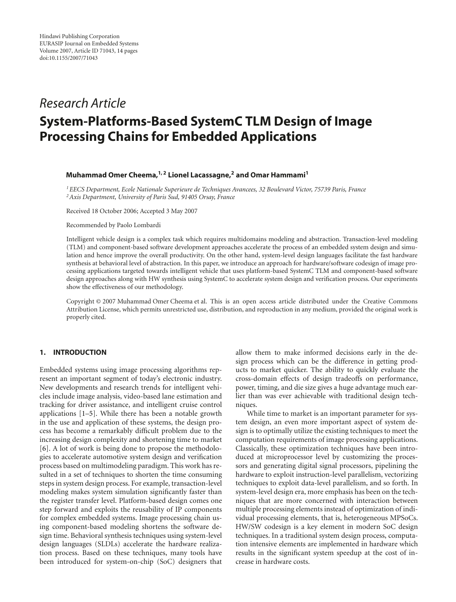## *Research Article*

# **System-Platforms-Based SystemC TLM Design of Image Processing Chains for Embedded Applications**

#### **Muhammad Omer Cheema,1, 2 Lionel Lacassagne,2 and Omar Hammami1**

*1EECS Department, Ecole Nationale Superieure de Techniques Avancees, 32 Boulevard Victor, 75739 Paris, France 2Axis Department, University of Paris Sud, 91405 Orsay, France*

Received 18 October 2006; Accepted 3 May 2007

Recommended by Paolo Lombardi

Intelligent vehicle design is a complex task which requires multidomains modeling and abstraction. Transaction-level modeling (TLM) and component-based software development approaches accelerate the process of an embedded system design and simulation and hence improve the overall productivity. On the other hand, system-level design languages facilitate the fast hardware synthesis at behavioral level of abstraction. In this paper, we introduce an approach for hardware/software codesign of image processing applications targeted towards intelligent vehicle that uses platform-based SystemC TLM and component-based software design approaches along with HW synthesis using SystemC to accelerate system design and verification process. Our experiments show the effectiveness of our methodology.

Copyright © 2007 Muhammad Omer Cheema et al. This is an open access article distributed under the Creative Commons Attribution License, which permits unrestricted use, distribution, and reproduction in any medium, provided the original work is properly cited.

## **1. INTRODUCTION**

Embedded systems using image processing algorithms represent an important segment of today's electronic industry. New developments and research trends for intelligent vehicles include image analysis, video-based lane estimation and tracking for driver assistance, and intelligent cruise control applications [\[1](#page-12-1)[–5](#page-12-2)]. While there has been a notable growth in the use and application of these systems, the design process has become a remarkably difficult problem due to the increasing design complexity and shortening time to market [\[6\]](#page-12-3). A lot of work is being done to propose the methodologies to accelerate automotive system design and verification process based on multimodeling paradigm. This work has resulted in a set of techniques to shorten the time consuming steps in system design process. For example, transaction-level modeling makes system simulation significantly faster than the register transfer level. Platform-based design comes one step forward and exploits the reusability of IP components for complex embedded systems. Image processing chain using component-based modeling shortens the software design time. Behavioral synthesis techniques using system-level design languages (SLDLs) accelerate the hardware realization process. Based on these techniques, many tools have been introduced for system-on-chip (SoC) designers that

allow them to make informed decisions early in the design process which can be the difference in getting products to market quicker. The ability to quickly evaluate the cross-domain effects of design tradeoffs on performance, power, timing, and die size gives a huge advantage much earlier than was ever achievable with traditional design techniques.

While time to market is an important parameter for system design, an even more important aspect of system design is to optimally utilize the existing techniques to meet the computation requirements of image processing applications. Classically, these optimization techniques have been introduced at microprocessor level by customizing the processors and generating digital signal processors, pipelining the hardware to exploit instruction-level parallelism, vectorizing techniques to exploit data-level parallelism, and so forth. In system-level design era, more emphasis has been on the techniques that are more concerned with interaction between multiple processing elements instead of optimization of individual processing elements, that is, heterogeneous MPSoCs. HW/SW codesign is a key element in modern SoC design techniques. In a traditional system design process, computation intensive elements are implemented in hardware which results in the significant system speedup at the cost of increase in hardware costs.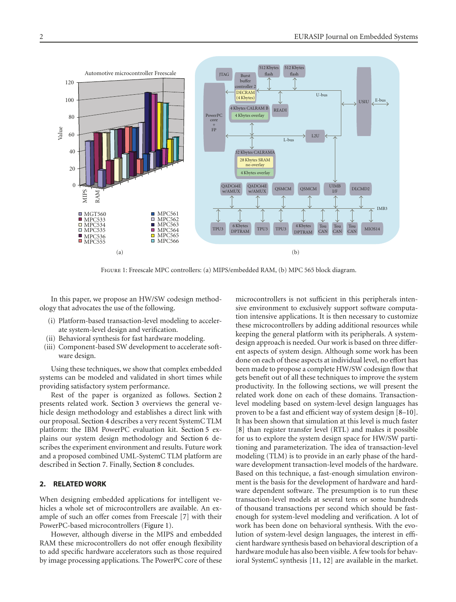

<span id="page-1-1"></span>Figure 1: Freescale MPC controllers: (a) MIPS/embedded RAM, (b) MPC 565 block diagram.

In this paper, we propose an HW/SW codesign methodology that advocates the use of the following.

- (i) Platform-based transaction-level modeling to accelerate system-level design and verification.
- (ii) Behavioral synthesis for fast hardware modeling.
- (iii) Component-based SW development to accelerate software design.

Using these techniques, we show that complex embedded systems can be modeled and validated in short times while providing satisfactory system performance.

Rest of the paper is organized as follows. [Section 2](#page-1-0) presents related work. [Section 3](#page-2-0) overviews the general vehicle design methodology and establishes a direct link with our proposal. [Section 4](#page-2-1) describes a very recent SystemC TLM platform: the IBM PowerPC evaluation kit. [Section 5](#page-6-0) explains our system design methodology and [Section 6](#page-7-0) describes the experiment environment and results. Future work and a proposed combined UML-SystemC TLM platform are described in [Section 7.](#page-9-0) Finally, [Section 8](#page-12-4) concludes.

## <span id="page-1-0"></span>**2. RELATED WORK**

When designing embedded applications for intelligent vehicles a whole set of microcontrollers are available. An example of such an offer comes from Freescale [\[7](#page-12-5)] with their PowerPC-based microcontrollers [\(Figure 1\)](#page-1-1).

However, although diverse in the MIPS and embedded RAM these microcontrollers do not offer enough flexibility to add specific hardware accelerators such as those required by image processing applications. The PowerPC core of these

microcontrollers is not sufficient in this peripherals intensive environment to exclusively support software computation intensive applications. It is then necessary to customize these microcontrollers by adding additional resources while keeping the general platform with its peripherals. A systemdesign approach is needed. Our work is based on three different aspects of system design. Although some work has been done on each of these aspects at individual level, no effort has been made to propose a complete HW/SW codesign flow that gets benefit out of all these techniques to improve the system productivity. In the following sections, we will present the related work done on each of these domains. Transactionlevel modeling based on system-level design languages has proven to be a fast and efficient way of system design [\[8](#page-12-6)[–10](#page-12-7)]. It has been shown that simulation at this level is much faster [\[8\]](#page-12-6) than register transfer level (RTL) and makes it possible for us to explore the system design space for HW/SW partitioning and parameterization. The idea of transaction-level modeling (TLM) is to provide in an early phase of the hardware development transaction-level models of the hardware. Based on this technique, a fast-enough simulation environment is the basis for the development of hardware and hardware dependent software. The presumption is to run these transaction-level models at several tens or some hundreds of thousand transactions per second which should be fastenough for system-level modeling and verification. A lot of work has been done on behavioral synthesis. With the evolution of system-level design languages, the interest in efficient hardware synthesis based on behavioral description of a hardware module has also been visible. A few tools for behavioral SystemC synthesis [\[11](#page-12-8), [12\]](#page-12-9) are available in the market.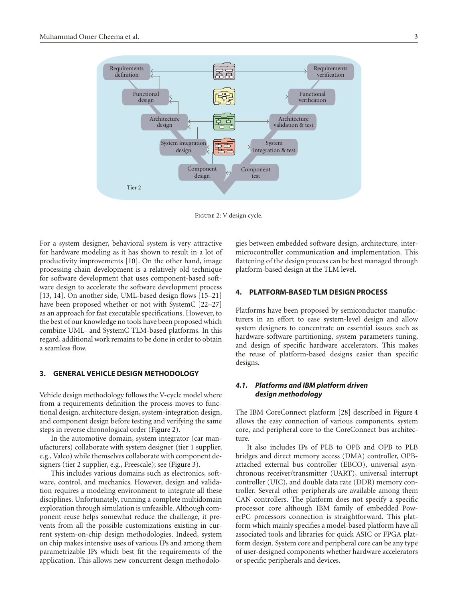

<span id="page-2-2"></span>Figure 2: V design cycle.

For a system designer, behavioral system is very attractive for hardware modeling as it has shown to result in a lot of productivity improvements [\[10](#page-12-7)]. On the other hand, image processing chain development is a relatively old technique for software development that uses component-based software design to accelerate the software development process [\[13](#page-12-10), [14\]](#page-12-11). On another side, UML-based design flows [\[15](#page-12-12)[–21](#page-13-0)] have been proposed whether or not with SystemC [\[22](#page-13-1)[–27](#page-13-2)] as an approach for fast executable specifications. However, to the best of our knowledge no tools have been proposed which combine UML- and SystemC TLM-based platforms. In this regard, additional work remains to be done in order to obtain a seamless flow.

#### <span id="page-2-0"></span>**3. GENERAL VEHICLE DESIGN METHODOLOGY**

Vehicle design methodology follows the V-cycle model where from a requirements definition the process moves to functional design, architecture design, system-integration design, and component design before testing and verifying the same steps in reverse chronological order [\(Figure 2\)](#page-2-2).

In the automotive domain, system integrator (car manufacturers) collaborate with system designer (tier 1 supplier, e.g., Valeo) while themselves collaborate with component designers (tier 2 supplier, e.g., Freescale); see [\(Figure 3\)](#page-3-0).

This includes various domains such as electronics, software, control, and mechanics. However, design and validation requires a modeling environment to integrate all these disciplines. Unfortunately, running a complete multidomain exploration through simulation is unfeasible. Although component reuse helps somewhat reduce the challenge, it prevents from all the possible customizations existing in current system-on-chip design methodologies. Indeed, system on chip makes intensive uses of various IPs and among them parametrizable IPs which best fit the requirements of the application. This allows new concurrent design methodologies between embedded software design, architecture, intermicrocontroller communication and implementation. This flattening of the design process can be best managed through platform-based design at the TLM level.

## <span id="page-2-1"></span>**4. PLATFORM-BASED TLM DESIGN PROCESS**

Platforms have been proposed by semiconductor manufacturers in an effort to ease system-level design and allow system designers to concentrate on essential issues such as hardware-software partitioning, system parameters tuning, and design of specific hardware accelerators. This makes the reuse of platform-based designs easier than specific designs.

## *4.1. Platforms and IBM platform driven design methodology*

The IBM CoreConnect platform [\[28](#page-13-3)] described in [Figure 4](#page-3-1) allows the easy connection of various components, system core, and peripheral core to the CoreConnect bus architecture.

It also includes IPs of PLB to OPB and OPB to PLB bridges and direct memory access (DMA) controller, OPBattached external bus controller (EBCO), universal asynchronous receiver/transmitter (UART), universal interrupt controller (UIC), and double data rate (DDR) memory controller. Several other peripherals are available among them CAN controllers. The platform does not specify a specific processor core although IBM family of embedded PowerPC processors connection is straightforward. This platform which mainly specifies a model-based platform have all associated tools and libraries for quick ASIC or FPGA platform design. System core and peripheral core can be any type of user-designed components whether hardware accelerators or specific peripherals and devices.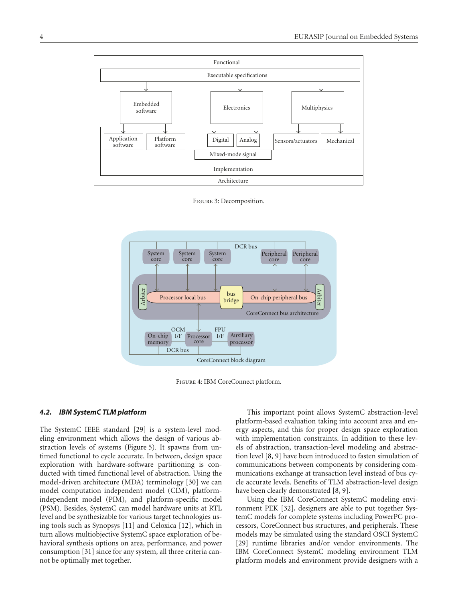

<span id="page-3-0"></span>Figure 3: Decomposition.



<span id="page-3-1"></span>Figure 4: IBM CoreConnect platform.

#### *4.2. IBM SystemC TLM platform*

The SystemC IEEE standard [\[29\]](#page-13-4) is a system-level modeling environment which allows the design of various abstraction levels of systems [\(Figure 5\)](#page-4-0). It spawns from untimed functional to cycle accurate. In between, design space exploration with hardware-software partitioning is conducted with timed functional level of abstraction. Using the model-driven architecture (MDA) terminology [\[30\]](#page-13-5) we can model computation independent model (CIM), platformindependent model (PIM), and platform-specific model (PSM). Besides, SystemC can model hardware units at RTL level and be synthesizable for various target technologies using tools such as Synopsys [\[11\]](#page-12-8) and Celoxica [\[12](#page-12-9)], which in turn allows multiobjective SystemC space exploration of behavioral synthesis options on area, performance, and power consumption [\[31\]](#page-13-6) since for any system, all three criteria cannot be optimally met together.

This important point allows SystemC abstraction-level platform-based evaluation taking into account area and energy aspects, and this for proper design space exploration with implementation constraints. In addition to these levels of abstraction, transaction-level modeling and abstraction level [\[8](#page-12-6), [9\]](#page-12-13) have been introduced to fasten simulation of communications between components by considering communications exchange at transaction level instead of bus cycle accurate levels. Benefits of TLM abstraction-level design have been clearly demonstrated [\[8,](#page-12-6) [9](#page-12-13)].

Using the IBM CoreConnect SystemC modeling environment PEK [\[32\]](#page-13-7), designers are able to put together SystemC models for complete systems including PowerPC processors, CoreConnect bus structures, and peripherals. These models may be simulated using the standard OSCI SystemC [\[29](#page-13-4)] runtime libraries and/or vendor environments. The IBM CoreConnect SystemC modeling environment TLM platform models and environment provide designers with a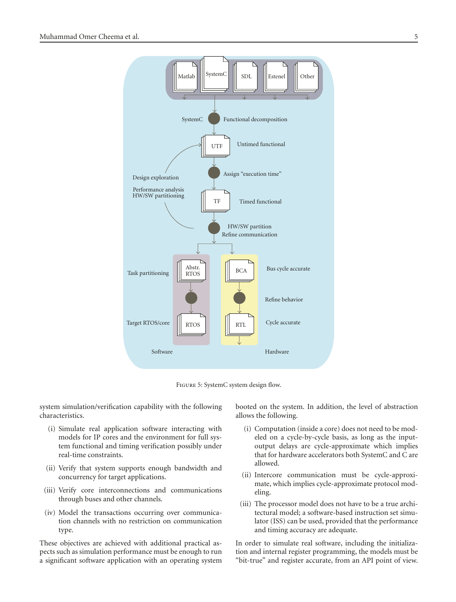

<span id="page-4-0"></span>Figure 5: SystemC system design flow.

system simulation/verification capability with the following characteristics.

- (i) Simulate real application software interacting with models for IP cores and the environment for full system functional and timing verification possibly under real-time constraints.
- (ii) Verify that system supports enough bandwidth and concurrency for target applications.
- (iii) Verify core interconnections and communications through buses and other channels.
- (iv) Model the transactions occurring over communication channels with no restriction on communication type.

These objectives are achieved with additional practical aspects such as simulation performance must be enough to run a significant software application with an operating system booted on the system. In addition, the level of abstraction allows the following.

- (i) Computation (inside a core) does not need to be modeled on a cycle-by-cycle basis, as long as the inputoutput delays are cycle-approximate which implies that for hardware accelerators both SystemC and C are allowed.
- (ii) Intercore communication must be cycle-approximate, which implies cycle-approximate protocol modeling.
- (iii) The processor model does not have to be a true architectural model; a software-based instruction set simulator (ISS) can be used, provided that the performance and timing accuracy are adequate.

In order to simulate real software, including the initialization and internal register programming, the models must be "bit-true" and register accurate, from an API point of view.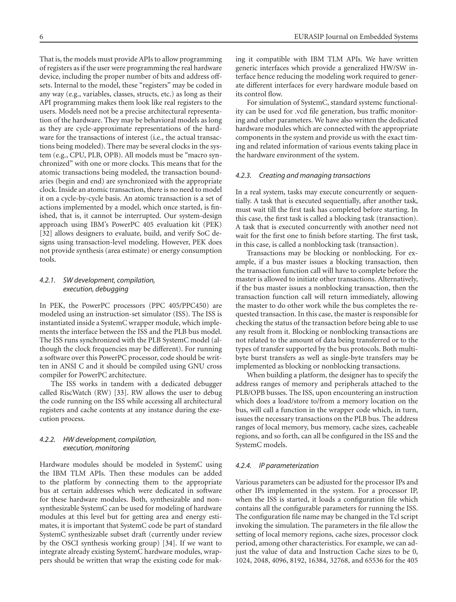That is, the models must provide APIs to allow programming of registers as if the user were programming the real hardware device, including the proper number of bits and address offsets. Internal to the model, these "registers" may be coded in any way (e.g., variables, classes, structs, etc.) as long as their API programming makes them look like real registers to the users. Models need not be a precise architectural representation of the hardware. They may be behavioral models as long as they are cycle-approximate representations of the hardware for the transactions of interest (i.e., the actual transactions being modeled). There may be several clocks in the system (e.g., CPU, PLB, OPB). All models must be "macro synchronized" with one or more clocks. This means that for the atomic transactions being modeled, the transaction boundaries (begin and end) are synchronized with the appropriate clock. Inside an atomic transaction, there is no need to model it on a cycle-by-cycle basis. An atomic transaction is a set of actions implemented by a model, which once started, is finished, that is, it cannot be interrupted. Our system-design approach using IBM's PowerPC 405 evaluation kit (PEK) [\[32](#page-13-7)] allows designers to evaluate, build, and verify SoC designs using transaction-level modeling. However, PEK does not provide synthesis (area estimate) or energy consumption tools.

## *4.2.1. SW development, compilation, execution, debugging*

In PEK, the PowerPC processors (PPC 405/PPC450) are modeled using an instruction-set simulator (ISS). The ISS is instantiated inside a SystemC wrapper module, which implements the interface between the ISS and the PLB bus model. The ISS runs synchronized with the PLB SystemC model (although the clock frequencies may be different). For running a software over this PowerPC processor, code should be written in ANSI C and it should be compiled using GNU cross compiler for PowerPC architecture.

The ISS works in tandem with a dedicated debugger called RiscWatch (RW) [\[33](#page-13-8)]. RW allows the user to debug the code running on the ISS while accessing all architectural registers and cache contents at any instance during the execution process.

#### *4.2.2. HW development, compilation, execution, monitoring*

Hardware modules should be modeled in SystemC using the IBM TLM APIs. Then these modules can be added to the platform by connecting them to the appropriate bus at certain addresses which were dedicated in software for these hardware modules. Both, synthesizable and nonsynthesizable SystemC can be used for modeling of hardware modules at this level but for getting area and energy estimates, it is important that SystemC code be part of standard SystemC synthesizable subset draft (currently under review by the OSCI synthesis working group) [\[34](#page-13-9)]. If we want to integrate already existing SystemC hardware modules, wrappers should be written that wrap the existing code for making it compatible with IBM TLM APIs. We have written generic interfaces which provide a generalized HW/SW interface hence reducing the modeling work required to generate different interfaces for every hardware module based on its control flow.

For simulation of SystemC, standard systemc functionality can be used for .vcd file generation, bus traffic monitoring and other parameters. We have also written the dedicated hardware modules which are connected with the appropriate components in the system and provide us with the exact timing and related information of various events taking place in the hardware environment of the system.

#### *4.2.3. Creating and managing transactions*

In a real system, tasks may execute concurrently or sequentially. A task that is executed sequentially, after another task, must wait till the first task has completed before starting. In this case, the first task is called a blocking task (transaction). A task that is executed concurrently with another need not wait for the first one to finish before starting. The first task, in this case, is called a nonblocking task (transaction).

Transactions may be blocking or nonblocking. For example, if a bus master issues a blocking transaction, then the transaction function call will have to complete before the master is allowed to initiate other transactions. Alternatively, if the bus master issues a nonblocking transaction, then the transaction function call will return immediately, allowing the master to do other work while the bus completes the requested transaction. In this case, the master is responsible for checking the status of the transaction before being able to use any result from it. Blocking or nonblocking transactions are not related to the amount of data being transferred or to the types of transfer supported by the bus protocols. Both multibyte burst transfers as well as single-byte transfers may be implemented as blocking or nonblocking transactions.

When building a platform, the designer has to specify the address ranges of memory and peripherals attached to the PLB/OPB busses. The ISS, upon encountering an instruction which does a load/store to/from a memory location on the bus, will call a function in the wrapper code which, in turn, issues the necessary transactions on the PLB bus. The address ranges of local memory, bus memory, cache sizes, cacheable regions, and so forth, can all be configured in the ISS and the SystemC models.

#### *4.2.4. IP parameterization*

Various parameters can be adjusted for the processor IPs and other IPs implemented in the system. For a processor IP, when the ISS is started, it loads a configuration file which contains all the configurable parameters for running the ISS. The configuration file name may be changed in the Tcl script invoking the simulation. The parameters in the file allow the setting of local memory regions, cache sizes, processor clock period, among other characteristics. For example, we can adjust the value of data and Instruction Cache sizes to be 0, 1024, 2048, 4096, 8192, 16384, 32768, and 65536 for the 405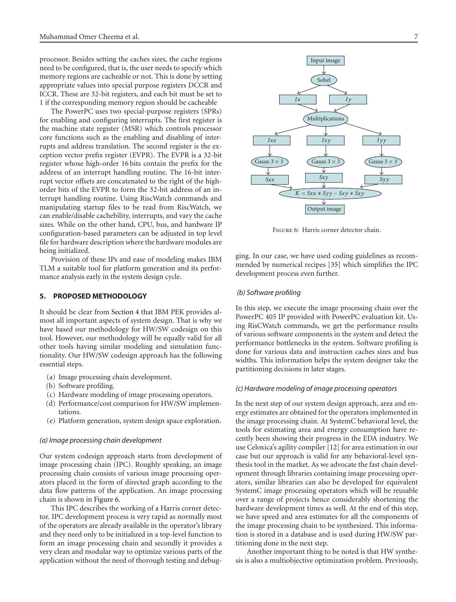processor. Besides setting the caches sizes, the cache regions need to be configured, that is, the user needs to specify which memory regions are cacheable or not. This is done by setting appropriate values into special purpose registers DCCR and ICCR. These are 32-bit registers, and each bit must be set to 1 if the corresponding memory region should be cacheable

The PowerPC uses two special-purpose registers (SPRs) for enabling and configuring interrupts. The first register is the machine state register (MSR) which controls processor core functions such as the enabling and disabling of interrupts and address translation. The second register is the exception vector prefix register (EVPR). The EVPR is a 32-bit register whose high-order 16 bits contain the prefix for the address of an interrupt handling routine. The 16-bit interrupt vector offsets are concatenated to the right of the highorder bits of the EVPR to form the 32-bit address of an interrupt handling routine. Using RiscWatch commands and manipulating startup files to be read from RiscWatch, we can enable/disable cachebility, interrupts, and vary the cache sizes. While on the other hand, CPU, bus, and hardware IP configuration-based parameters can be adjusted in top level file for hardware description where the hardware modules are being initialized.

Provision of these IPs and ease of modeling makes IBM TLM a suitable tool for platform generation and its performance analysis early in the system design cycle.

## <span id="page-6-0"></span>**5. PROPOSED METHODOLOGY**

It should be clear from [Section 4](#page-2-1) that IBM PEK provides almost all important aspects of system design. That is why we have based our methodology for HW/SW codesign on this tool. However, our methodology will be equally valid for all other tools having similar modeling and simulation functionality. Our HW/SW codesign approach has the following essential steps.

- (a) Image processing chain development.
- (b) Software profiling.
- (c) Hardware modeling of image processing operators.
- (d) Performance/cost comparison for HW/SW implementations.
- (e) Platform generation, system design space exploration.

#### *(a) Image processing chain development*

Our system codesign approach starts from development of image processing chain (IPC). Roughly speaking, an image processing chain consists of various image processing operators placed in the form of directed graph according to the data flow patterns of the application. An image processing chain is shown in [Figure 6.](#page-6-1)

This IPC describes the working of a Harris corner detector. IPC development process is very rapid as normally most of the operators are already available in the operator's library and they need only to be initialized in a top-level function to form an image processing chain and secondly it provides a very clean and modular way to optimize various parts of the application without the need of thorough testing and debug-



Figure 6: Harris corner detector chain.

<span id="page-6-1"></span>ging. In our case, we have used coding guidelines as recommended by numerical recipes [\[35\]](#page-13-10) which simplifies the IPC development process even further.

#### *(b) Software profiling*

In this step, we execute the image processing chain over the PowerPC 405 IP provided with PowerPC evaluation kit. Using RisCWatch commands, we get the performance results of various software components in the system and detect the performance bottlenecks in the system. Software profiling is done for various data and instruction caches sizes and bus widths. This information helps the system designer take the partitioning decisions in later stages.

#### *(c) Hardware modeling of image processing operators*

In the next step of our system design approach, area and energy estimates are obtained for the operators implemented in the image processing chain. At SystemC behavioral level, the tools for estimating area and energy consumption have recently been showing their progress in the EDA industry. We use Celoxica's agility compiler [\[12\]](#page-12-9) for area estimation in our case but our approach is valid for any behavioral-level synthesis tool in the market. As we advocate the fast chain development through libraries containing image processing operators, similar libraries can also be developed for equivalent SystemC image processing operators which will be reusable over a range of projects hence considerably shortening the hardware development times as well. At the end of this step, we have speed and area estimates for all the components of the image processing chain to be synthesized. This information is stored in a database and is used during HW/SW partitioning done in the next step.

Another important thing to be noted is that HW synthesis is also a multiobjective optimization problem. Previously,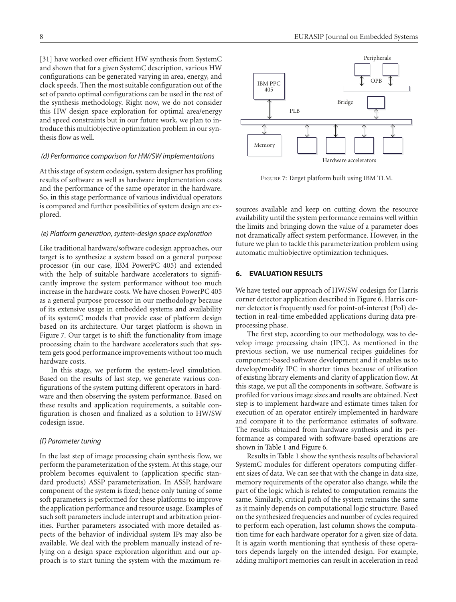[\[31](#page-13-6)] have worked over efficient HW synthesis from SystemC and shown that for a given SystemC description, various HW configurations can be generated varying in area, energy, and clock speeds. Then the most suitable configuration out of the set of pareto optimal configurations can be used in the rest of the synthesis methodology. Right now, we do not consider this HW design space exploration for optimal area/energy and speed constraints but in our future work, we plan to introduce this multiobjective optimization problem in our synthesis flow as well.

#### *(d) Performance comparison for HW/SW implementations*

At this stage of system codesign, system designer has profiling results of software as well as hardware implementation costs and the performance of the same operator in the hardware. So, in this stage performance of various individual operators is compared and further possibilities of system design are explored.

#### *(e) Platform generation, system-design space exploration*

Like traditional hardware/software codesign approaches, our target is to synthesize a system based on a general purpose processor (in our case, IBM PowerPC 405) and extended with the help of suitable hardware accelerators to significantly improve the system performance without too much increase in the hardware costs. We have chosen PowerPC 405 as a general purpose processor in our methodology because of its extensive usage in embedded systems and availability of its systemC models that provide ease of platform design based on its architecture. Our target platform is shown in [Figure 7.](#page-7-1) Our target is to shift the functionality from image processing chain to the hardware accelerators such that system gets good performance improvements without too much hardware costs.

In this stage, we perform the system-level simulation. Based on the results of last step, we generate various configurations of the system putting different operators in hardware and then observing the system performance. Based on these results and application requirements, a suitable configuration is chosen and finalized as a solution to HW/SW codesign issue.

#### *(f) Parameter tuning*

In the last step of image processing chain synthesis flow, we perform the parameterization of the system. At this stage, our problem becomes equivalent to (application specific standard products) ASSP parameterization. In ASSP, hardware component of the system is fixed; hence only tuning of some soft parameters is performed for these platforms to improve the application performance and resource usage. Examples of such soft parameters include interrupt and arbitration priorities. Further parameters associated with more detailed aspects of the behavior of individual system IPs may also be available. We deal with the problem manually instead of relying on a design space exploration algorithm and our approach is to start tuning the system with the maximum re-



Figure 7: Target platform built using IBM TLM.

<span id="page-7-1"></span>sources available and keep on cutting down the resource availability until the system performance remains well within the limits and bringing down the value of a parameter does not dramatically affect system performance. However, in the future we plan to tackle this parameterization problem using automatic multiobjective optimization techniques.

#### <span id="page-7-0"></span>**6. EVALUATION RESULTS**

We have tested our approach of HW/SW codesign for Harris corner detector application described in [Figure 6.](#page-6-1) Harris corner detector is frequently used for point-of-interest (PoI) detection in real-time embedded applications during data preprocessing phase.

The first step, according to our methodology, was to develop image processing chain (IPC). As mentioned in the previous section, we use numerical recipes guidelines for component-based software development and it enables us to develop/modify IPC in shorter times because of utilization of existing library elements and clarity of application flow. At this stage, we put all the components in software. Software is profiled for various image sizes and results are obtained. Next step is to implement hardware and estimate times taken for execution of an operator entirely implemented in hardware and compare it to the performance estimates of software. The results obtained from hardware synthesis and its performance as compared with software-based operations are shown in [Table 1](#page-8-0) and [Figure 6.](#page-6-1)

Results in [Table 1](#page-8-0) show the synthesis results of behavioral SystemC modules for different operators computing different sizes of data. We can see that with the change in data size, memory requirements of the operator also change, while the part of the logic which is related to computation remains the same. Similarly, critical path of the system remains the same as it mainly depends on computational logic structure. Based on the synthesized frequencies and number of cycles required to perform each operation, last column shows the computation time for each hardware operator for a given size of data. It is again worth mentioning that synthesis of these operators depends largely on the intended design. For example, adding multiport memories can result in acceleration in read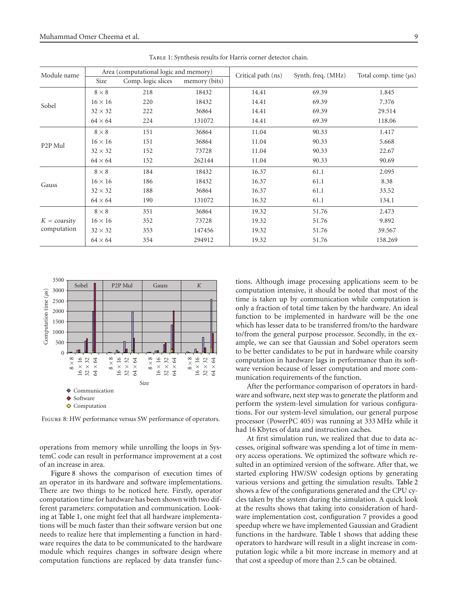| Module name                          | Area (computational logic and memory) |                    |               | Critical path (ns) | Synth. freq. (MHz) | Total comp. time $(\mu s)$ |
|--------------------------------------|---------------------------------------|--------------------|---------------|--------------------|--------------------|----------------------------|
|                                      | Size                                  | Comp. logic slices | memory (bits) |                    |                    |                            |
| Sobel                                | $8\times8$                            | 218                | 18432         | 14.41              | 69.39              | 1.845                      |
|                                      | $16 \times 16$                        | 220                | 18432         | 14.41              | 69.39              | 7.376                      |
|                                      | $32 \times 32$                        | 222                | 36864         | 14.41              | 69.39              | 29.514                     |
|                                      | $64 \times 64$                        | 224                | 131072        | 14.41              | 69.39              | 118.06                     |
| P <sub>2</sub> P Mul                 | $8 \times 8$                          | 151                | 36864         | 11.04              | 90.33              | 1.417                      |
|                                      | $16 \times 16$                        | 151                | 36864         | 11.04              | 90.33              | 5.668                      |
|                                      | $32 \times 32$                        | 152                | 73728         | 11.04              | 90.33              | 22.67                      |
|                                      | $64 \times 64$                        | 152                | 262144        | 11.04              | 90.33              | 90.69                      |
| Gauss                                | $8 \times 8$                          | 184                | 18432         | 16.37              | 61.1               | 2.095                      |
|                                      | $16 \times 16$                        | 186                | 18432         | 16.37              | 61.1               | 8.38                       |
|                                      | $32 \times 32$                        | 188                | 36864         | 16.37              | 61.1               | 33.52                      |
|                                      | $64 \times 64$                        | 190                | 131072        | 16.32              | 61.1               | 134.1                      |
| $K = \text{coarsity}$<br>computation | $8\times8$                            | 351                | 36864         | 19.32              | 51.76              | 2.473                      |
|                                      | $16 \times 16$                        | 352                | 73728         | 19.32              | 51.76              | 9.892                      |
|                                      | $32 \times 32$                        | 353                | 147456        | 19.32              | 51.76              | 39.567                     |
|                                      | $64 \times 64$                        | 354                | 294912        | 19.32              | 51.76              | 158.269                    |

<span id="page-8-0"></span>Table 1: Synthesis results for Harris corner detector chain.



<span id="page-8-1"></span>Figure 8: HW performance versus SW performance of operators.

operations from memory while unrolling the loops in SystemC code can result in performance improvement at a cost of an increase in area.

[Figure 8](#page-8-1) shows the comparison of execution times of an operator in its hardware and software implementations. There are two things to be noticed here. Firstly, operator computation time for hardware has been shown with two different parameters: computation and communication. Looking at [Table 1,](#page-8-0) one might feel that all hardware implementations will be much faster than their software version but one needs to realize here that implementing a function in hardware requires the data to be communicated to the hardware module which requires changes in software design where computation functions are replaced by data transfer functions. Although image processing applications seem to be computation intensive, it should be noted that most of the time is taken up by communication while computation is only a fraction of total time taken by the hardware. An ideal function to be implemented in hardware will be the one which has lesser data to be transferred from/to the hardware to/from the general purpose processor. Secondly, in the example, we can see that Gaussian and Sobel operators seem to be better candidates to be put in hardware while coarsity computation in hardware lags in performance than its software version because of lesser computation and more communication requirements of the function.

After the performance comparison of operators in hardware and software, next step was to generate the platform and perform the system-level simulation for various configurations. For our system-level simulation, our general purpose processor (PowerPC 405) was running at 333 MHz while it had 16 Kbytes of data and instruction caches.

At first simulation run, we realized that due to data accesses, original software was spending a lot of time in memory access operations. We optimized the software which resulted in an optimized version of the software. After that, we started exploring HW/SW codesign options by generating various versions and getting the simulation results. [Table 2](#page-10-0) shows a few of the configurations generated and the CPU cycles taken by the system during the simulation. A quick look at the results shows that taking into consideration of hardware implementation cost, configuration 7 provides a good speedup where we have implemented Gaussian and Gradient functions in the hardware. [Table 1](#page-8-0) shows that adding these operators to hardware will result in a slight increase in computation logic while a bit more increase in memory and at that cost a speedup of more than 2.5 can be obtained.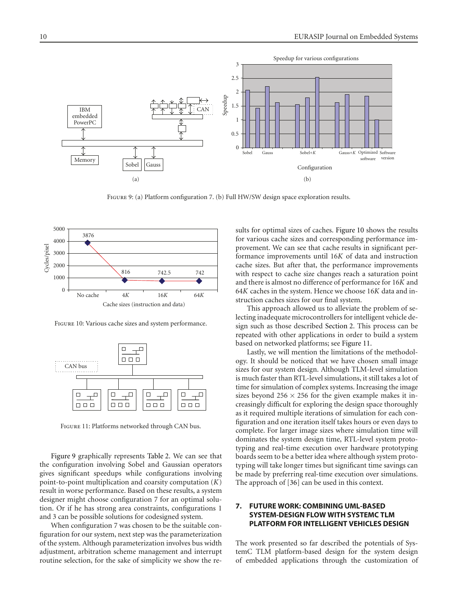

<span id="page-9-1"></span>FIGURE 9: (a) Platform configuration 7. (b) Full HW/SW design space exploration results.



Figure 10: Various cache sizes and system performance.

<span id="page-9-2"></span>

Figure 11: Platforms networked through CAN bus.

<span id="page-9-3"></span>[Figure 9](#page-9-1) graphically represents [Table 2.](#page-10-0) We can see that the configuration involving Sobel and Gaussian operators gives significant speedups while configurations involving point-to-point multiplication and coarsity computation (*K*) result in worse performance. Based on these results, a system designer might choose configuration 7 for an optimal solution. Or if he has strong area constraints, configurations 1 and 3 can be possible solutions for codesigned system.

When configuration 7 was chosen to be the suitable configuration for our system, next step was the parameterization of the system. Although parameterization involves bus width adjustment, arbitration scheme management and interrupt routine selection, for the sake of simplicity we show the results for optimal sizes of caches. [Figure 10](#page-9-2) shows the results for various cache sizes and corresponding performance improvement. We can see that cache results in significant performance improvements until 16*K* of data and instruction cache sizes. But after that, the performance improvements with respect to cache size changes reach a saturation point and there is almost no difference of performance for 16*K* and 64*K* caches in the system. Hence we choose 16*K* data and instruction caches sizes for our final system.

This approach allowed us to alleviate the problem of selecting inadequate microcontrollers for intelligent vehicle design such as those described [Section 2.](#page-1-0) This process can be repeated with other applications in order to build a system based on networked platforms; see [Figure 11.](#page-9-3)

Lastly, we will mention the limitations of the methodology. It should be noticed that we have chosen small image sizes for our system design. Although TLM-level simulation is much faster than RTL-level simulations, it still takes a lot of time for simulation of complex systems. Increasing the image sizes beyond 256  $\times$  256 for the given example makes it increasingly difficult for exploring the design space thoroughly as it required multiple iterations of simulation for each configuration and one iteration itself takes hours or even days to complete. For larger image sizes where simulation time will dominates the system design time, RTL-level system prototyping and real-time execution over hardware prototyping boards seem to be a better idea where although system prototyping will take longer times but significant time savings can be made by preferring real-time execution over simulations. The approach of [\[36](#page-13-11)] can be used in this context.

## <span id="page-9-0"></span>**7. FUTURE WORK: COMBINING UML-BASED SYSTEM-DESIGN FLOW WITH SYSTEMC TLM PLATFORM FOR INTELLIGENT VEHICLES DESIGN**

The work presented so far described the potentials of SystemC TLM platform-based design for the system design of embedded applications through the customization of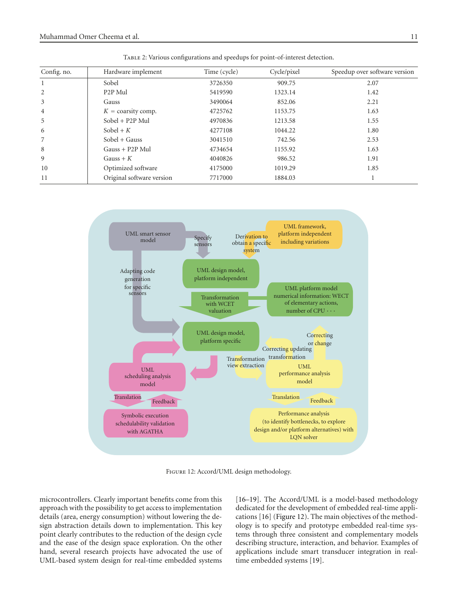| Config. no.    | Hardware implement        | Time (cycle) | Cycle/pixel | Speedup over software version |
|----------------|---------------------------|--------------|-------------|-------------------------------|
|                | Sobel                     | 3726350      | 909.75      | 2.07                          |
| 2              | P <sub>2</sub> P Mul      | 5419590      | 1323.14     | 1.42                          |
| 3              | Gauss                     | 3490064      | 852.06      | 2.21                          |
| $\overline{4}$ | $K =$ coarsity comp.      | 4725762      | 1153.75     | 1.63                          |
| 5              | Sobel + P2P Mul           | 4970836      | 1213.58     | 1.55                          |
| 6              | Sobel + $K$               | 4277108      | 1044.22     | 1.80                          |
| 7              | $Sobel + Gauss$           | 3041510      | 742.56      | 2.53                          |
| 8              | $Gauss + P2P$ Mul         | 4734654      | 1155.92     | 1.63                          |
| 9              | Gauss + $K$               | 4040826      | 986.52      | 1.91                          |
| 10             | Optimized software        | 4175000      | 1019.29     | 1.85                          |
| 11             | Original software version | 7717000      | 1884.03     |                               |

<span id="page-10-0"></span>Table 2: Various configurations and speedups for point-of-interest detection.



<span id="page-10-1"></span>Figure 12: Accord/UML design methodology.

microcontrollers. Clearly important benefits come from this approach with the possibility to get access to implementation details (area, energy consumption) without lowering the design abstraction details down to implementation. This key point clearly contributes to the reduction of the design cycle and the ease of the design space exploration. On the other hand, several research projects have advocated the use of UML-based system design for real-time embedded systems

[\[16](#page-12-14)[–19\]](#page-13-12). The Accord/UML is a model-based methodology dedicated for the development of embedded real-time applications [\[16\]](#page-12-14) [\(Figure 12\)](#page-10-1). The main objectives of the methodology is to specify and prototype embedded real-time systems through three consistent and complementary models describing structure, interaction, and behavior. Examples of applications include smart transducer integration in realtime embedded systems [\[19](#page-13-12)].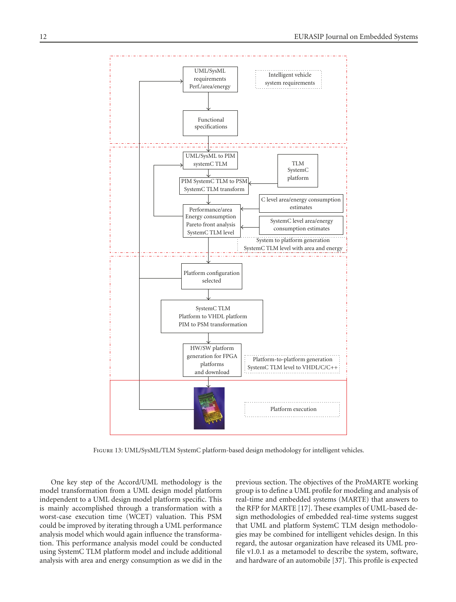

<span id="page-11-0"></span>Figure 13: UML/SysML/TLM SystemC platform-based design methodology for intelligent vehicles.

One key step of the Accord/UML methodology is the model transformation from a UML design model platform independent to a UML design model platform specific. This is mainly accomplished through a transformation with a worst-case execution time (WCET) valuation. This PSM could be improved by iterating through a UML performance analysis model which would again influence the transformation. This performance analysis model could be conducted using SystemC TLM platform model and include additional analysis with area and energy consumption as we did in the previous section. The objectives of the ProMARTE working group is to define a UML profile for modeling and analysis of real-time and embedded systems (MARTE) that answers to the RFP for MARTE [\[17](#page-12-15)]. These examples of UML-based design methodologies of embedded real-time systems suggest that UML and platform SystemC TLM design methodologies may be combined for intelligent vehicles design. In this regard, the autosar organization have released its UML profile v1.0.1 as a metamodel to describe the system, software, and hardware of an automobile [\[37](#page-13-13)]. This profile is expected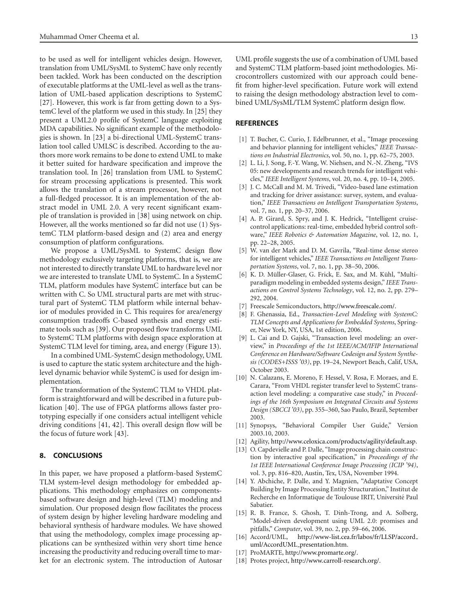to be used as well for intelligent vehicles design. However, translation from UML/SysML to SystemC have only recently been tackled. Work has been conducted on the description of executable platforms at the UML-level as well as the translation of UML-based application descriptions to SystemC [\[27](#page-13-2)]. However, this work is far from getting down to a SystemC level of the platform we used in this study. In [\[25](#page-13-14)] they present a UML2.0 profile of SystemC language exploiting MDA capabilities. No significant example of the methodologies is shown. In [\[23](#page-13-15)] a bi-directional UML-SystemC translation tool called UMLSC is described. According to the authors more work remains to be done to extend UML to make it better suited for hardware specification and improve the translation tool. In [\[26](#page-13-16)] translation from UML to SystemC for stream processing applications is presented. This work allows the translation of a stream processor, however, not a full-fledged processor. It is an implementation of the abstract model in UML 2.0. A very recent significant example of translation is provided in [\[38\]](#page-13-17) using network on chip. However, all the works mentioned so far did not use (1) SystemC TLM platform-based design and (2) area and energy consumption of platform configurations.

We propose a UML/SysML to SystemC design flow methodology exclusively targeting platforms, that is, we are not interested to directly translate UML to hardware level nor we are interested to translate UML to SystemC. In a SystemC TLM, platform modules have SystemC interface but can be written with C. So UML structural parts are met with structural part of SystemC TLM platform while internal behavior of modules provided in C. This requires for area/energy consumption tradeoffs C-based synthesis and energy estimate tools such as [\[39](#page-13-18)]. Our proposed flow transforms UML to SystemC TLM platforms with design space exploration at SystemC TLM level for timing, area, and energy [\(Figure 13\)](#page-11-0).

In a combined UML-SystemC design methodology, UML is used to capture the static system architecture and the highlevel dynamic behavior while SystemC is used for design implementation.

The transformation of the SystemC TLM to VHDL platform is straightforward and will be described in a future publication [\[40](#page-13-19)]. The use of FPGA platforms allows faster prototyping especially if one considers actual intelligent vehicle driving conditions [\[41](#page-13-20), [42](#page-13-21)]. This overall design flow will be the focus of future work [\[43](#page-13-22)].

#### <span id="page-12-4"></span>**8. CONCLUSIONS**

In this paper, we have proposed a platform-based SystemC TLM system-level design methodology for embedded applications. This methodology emphasizes on componentsbased software design and high-level (TLM) modeling and simulation. Our proposed design flow facilitates the process of system design by higher leveling hardware modeling and behavioral synthesis of hardware modules. We have showed that using the methodology, complex image processing applications can be synthesized within very short time hence increasing the productivity and reducing overall time to market for an electronic system. The introduction of Autosar

UML profile suggests the use of a combination of UML based and SystemC TLM platform-based joint methodologies. Microcontrollers customized with our approach could benefit from higher-level specification. Future work will extend to raising the design methodology abstraction level to combined UML/SysML/TLM SystemC platform design flow.

#### <span id="page-12-1"></span><span id="page-12-0"></span>**REFERENCES**

- [1] T. Bucher, C. Curio, J. Edelbrunner, et al., "Image processing and behavior planning for intelligent vehicles," *IEEE Transactions on Industrial Electronics*, vol. 50, no. 1, pp. 62–75, 2003.
- [2] L. Li, J. Song, F.-Y. Wang, W. Niehsen, and N.-N. Zheng, "IVS 05: new developments and research trends for intelligent vehicles," *IEEE Intelligent Systems*, vol. 20, no. 4, pp. 10–14, 2005.
- [3] J. C. McCall and M. M. Trivedi, "Video-based lane estimation and tracking for driver assistance: survey, system, and evaluation," *IEEE Transactions on Intelligent Transportation Systems*, vol. 7, no. 1, pp. 20–37, 2006.
- [4] A. P. Girard, S. Spry, and J. K. Hedrick, "Intelligent cruisecontrol applications: real-time, embedded hybrid control software," *IEEE Robotics & Automation Magazine*, vol. 12, no. 1, pp. 22–28, 2005.
- <span id="page-12-2"></span>[5] W. van der Mark and D. M. Gavrila, "Real-time dense stereo for intelligent vehicles," *IEEE Transactions on Intelligent Transportation Systems*, vol. 7, no. 1, pp. 38–50, 2006.
- <span id="page-12-3"></span>[6] K. D. Müller-Glaser, G. Frick, E. Sax, and M. Kühl, "Multiparadigm modeling in embedded systems design," *IEEE Transactions on Control Systems Technology*, vol. 12, no. 2, pp. 279– 292, 2004.
- <span id="page-12-5"></span>[7] Freescale Semiconductors, [http://www.freescale.com/.](http://www.freescale.com/)
- <span id="page-12-6"></span>[8] F. Ghenassia, Ed., *Transaction-Level Modeling with SystemC: TLM Concepts and Applications for Embedded Systems*, Springer, New York, NY, USA, 1st edition, 2006.
- <span id="page-12-13"></span>[9] L. Cai and D. Gajski, "Transaction level modeling: an overview," in *Proceedings of the 1st IEEE/ACM/IFIP International Conference on Hardware/Software Codesign and System Synthesis (CODES+ISSS '03)*, pp. 19–24, Newport Beach, Calif, USA, October 2003.
- <span id="page-12-7"></span>[10] N. Calazans, E. Moreno, F. Hessel, V. Rosa, F. Moraes, and E. Carara, "From VHDL register transfer level to SystemC transaction level modeling: a comparative case study," in *Proceedings of the 16th Symposium on Integrated Circuits and Systems Design (SBCCI '03)*, pp. 355–360, Sao Paulo, Brazil, September 2003.
- <span id="page-12-8"></span>[11] Synopsys, "Behavioral Compiler User Guide," Version 2003.10, 2003.
- <span id="page-12-9"></span>[12] Agility, [http://www.celoxica.com/products/agility/default.asp.](http://www.celoxica.com/products/agility/default.asp)
- <span id="page-12-10"></span>[13] O. Capdevielle and P. Dalle, "Image processing chain construction by interactive goal specification," in *Proceedings of the 1st IEEE International Conference Image Processing (ICIP '94)*, vol. 3, pp. 816–820, Austin, Tex, USA, November 1994.
- <span id="page-12-11"></span>[14] Y. Abchiche, P. Dalle, and Y. Magnien, "Adaptative Concept Building by Image Processing Entity Structuration," Institut de Recherche en Informatique de Toulouse IRIT, Université Paul Sabatier.
- <span id="page-12-12"></span>[15] R. B. France, S. Ghosh, T. Dinh-Trong, and A. Solberg, "Model-driven development using UML 2.0: promises and pitfalls," *Computer*, vol. 39, no. 2, pp. 59–66, 2006.
- <span id="page-12-14"></span>[16] Accord/UML, [http://www-list.cea.fr/labos/fr/LLSP/accord](http://www-list.cea.fr/labos/fr/LLSP/accord_uml/AccordUML_presentation.htm)\_ uml/AccordUML [presentation.htm.](http://www-list.cea.fr/labos/fr/LLSP/accord_uml/AccordUML_presentation.htm)
- [17] ProMARTE, [http://www.promarte.org/.](http://www.promarte.org/)
- <span id="page-12-15"></span>[18] Protes project, [http://www.carroll-research.org/.](http://www.carroll-research.org/)